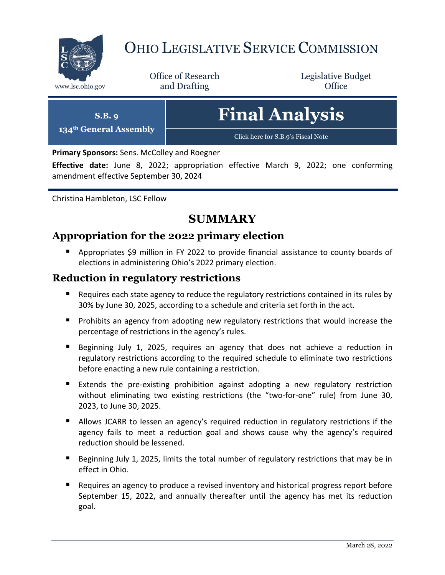

# OHIO LEGISLATIVE SERVICE COMMISSION

Office of Research www.lsc.ohio.gov **and Drafting Office** 

Legislative Budget

**S.B. 9 134th General Assembly** **Final Analysis**

[Click here for S.B.9](https://www.legislature.ohio.gov/legislation/legislation-documents?id=GA134-SB-9)'s Fiscal Note

**Primary Sponsors:** Sens. McColley and Roegner

**Effective date:** June 8, 2022; appropriation effective March 9, 2022; one conforming amendment effective September 30, 2024

Christina Hambleton, LSC Fellow

# **SUMMARY**

# **Appropriation for the 2022 primary election**

**Appropriates \$9 million in FY 2022 to provide financial assistance to county boards of** elections in administering Ohio's 2022 primary election.

## **Reduction in regulatory restrictions**

- Requires each state agency to reduce the regulatory restrictions contained in its rules by 30% by June 30, 2025, according to a schedule and criteria set forth in the act.
- **Prohibits an agency from adopting new regulatory restrictions that would increase the** percentage of restrictions in the agency's rules.
- Beginning July 1, 2025, requires an agency that does not achieve a reduction in regulatory restrictions according to the required schedule to eliminate two restrictions before enacting a new rule containing a restriction.
- Extends the pre-existing prohibition against adopting a new regulatory restriction without eliminating two existing restrictions (the "two-for-one" rule) from June 30, 2023, to June 30, 2025.
- Allows JCARR to lessen an agency's required reduction in regulatory restrictions if the agency fails to meet a reduction goal and shows cause why the agency's required reduction should be lessened.
- Beginning July 1, 2025, limits the total number of regulatory restrictions that may be in effect in Ohio.
- **Requires an agency to produce a revised inventory and historical progress report before** September 15, 2022, and annually thereafter until the agency has met its reduction goal.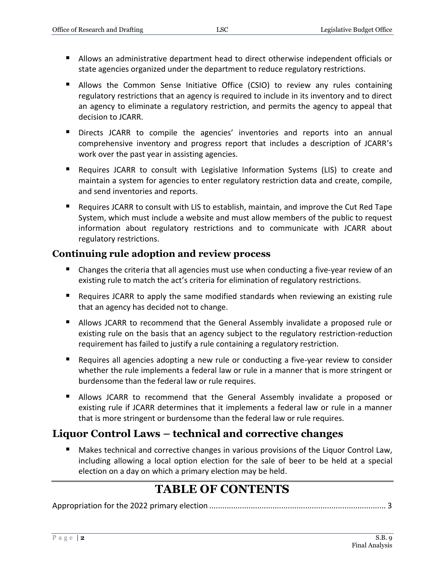- Allows an administrative department head to direct otherwise independent officials or state agencies organized under the department to reduce regulatory restrictions.
- Allows the Common Sense Initiative Office (CSIO) to review any rules containing regulatory restrictions that an agency is required to include in its inventory and to direct an agency to eliminate a regulatory restriction, and permits the agency to appeal that decision to JCARR.
- Directs JCARR to compile the agencies' inventories and reports into an annual comprehensive inventory and progress report that includes a description of JCARR's work over the past year in assisting agencies.
- Requires JCARR to consult with Legislative Information Systems (LIS) to create and maintain a system for agencies to enter regulatory restriction data and create, compile, and send inventories and reports.
- Requires JCARR to consult with LIS to establish, maintain, and improve the Cut Red Tape System, which must include a website and must allow members of the public to request information about regulatory restrictions and to communicate with JCARR about regulatory restrictions.

## **Continuing rule adoption and review process**

- Changes the criteria that all agencies must use when conducting a five-year review of an existing rule to match the act's criteria for elimination of regulatory restrictions.
- Requires JCARR to apply the same modified standards when reviewing an existing rule that an agency has decided not to change.
- **Allows JCARR to recommend that the General Assembly invalidate a proposed rule or** existing rule on the basis that an agency subject to the regulatory restriction-reduction requirement has failed to justify a rule containing a regulatory restriction.
- Requires all agencies adopting a new rule or conducting a five-year review to consider whether the rule implements a federal law or rule in a manner that is more stringent or burdensome than the federal law or rule requires.
- Allows JCARR to recommend that the General Assembly invalidate a proposed or existing rule if JCARR determines that it implements a federal law or rule in a manner that is more stringent or burdensome than the federal law or rule requires.

# **Liquor Control Laws – technical and corrective changes**

 Makes technical and corrective changes in various provisions of the Liquor Control Law, including allowing a local option election for the sale of beer to be held at a special election on a day on which a primary election may be held.

# **TABLE OF CONTENTS**

Appropriation for the 2022 primary election [.................................................................................](#page-2-0) 3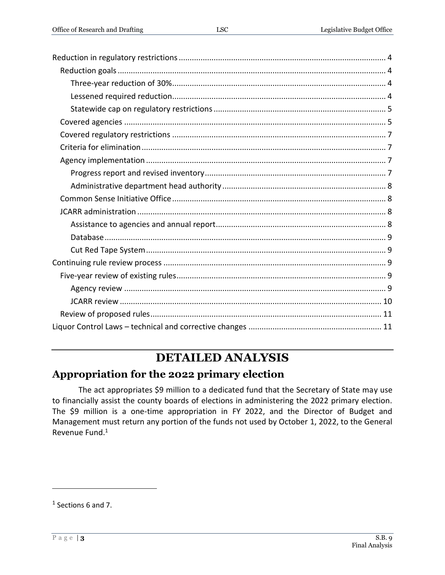# **DETAILED ANALYSIS**

# <span id="page-2-0"></span>**Appropriation for the 2022 primary election**

The act appropriates \$9 million to a dedicated fund that the Secretary of State may use to financially assist the county boards of elections in administering the 2022 primary election. The \$9 million is a one-time appropriation in FY 2022, and the Director of Budget and Management must return any portion of the funds not used by October 1, 2022, to the General Revenue Fund.<sup>1</sup>

 $<sup>1</sup>$  Sections 6 and 7.</sup>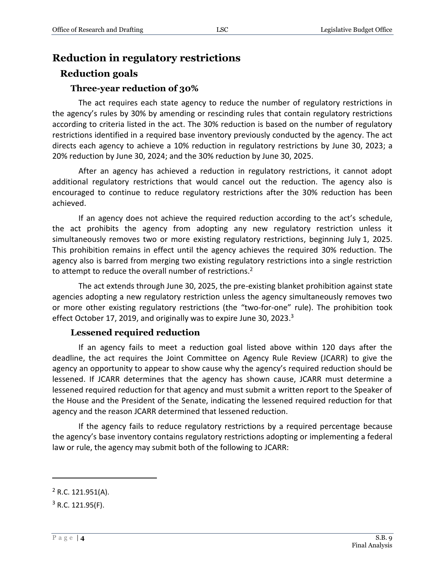# <span id="page-3-0"></span>**Reduction in regulatory restrictions**

## <span id="page-3-1"></span>**Reduction goals**

#### **Three-year reduction of 30%**

<span id="page-3-2"></span>The act requires each state agency to reduce the number of regulatory restrictions in the agency's rules by 30% by amending or rescinding rules that contain regulatory restrictions according to criteria listed in the act. The 30% reduction is based on the number of regulatory restrictions identified in a required base inventory previously conducted by the agency. The act directs each agency to achieve a 10% reduction in regulatory restrictions by June 30, 2023; a 20% reduction by June 30, 2024; and the 30% reduction by June 30, 2025.

After an agency has achieved a reduction in regulatory restrictions, it cannot adopt additional regulatory restrictions that would cancel out the reduction. The agency also is encouraged to continue to reduce regulatory restrictions after the 30% reduction has been achieved.

If an agency does not achieve the required reduction according to the act's schedule, the act prohibits the agency from adopting any new regulatory restriction unless it simultaneously removes two or more existing regulatory restrictions, beginning July 1, 2025. This prohibition remains in effect until the agency achieves the required 30% reduction. The agency also is barred from merging two existing regulatory restrictions into a single restriction to attempt to reduce the overall number of restrictions.<sup>2</sup>

The act extends through June 30, 2025, the pre-existing blanket prohibition against state agencies adopting a new regulatory restriction unless the agency simultaneously removes two or more other existing regulatory restrictions (the "two-for-one" rule). The prohibition took effect October 17, 2019, and originally was to expire June 30, 2023.<sup>3</sup>

#### **Lessened required reduction**

<span id="page-3-3"></span>If an agency fails to meet a reduction goal listed above within 120 days after the deadline, the act requires the Joint Committee on Agency Rule Review (JCARR) to give the agency an opportunity to appear to show cause why the agency's required reduction should be lessened. If JCARR determines that the agency has shown cause, JCARR must determine a lessened required reduction for that agency and must submit a written report to the Speaker of the House and the President of the Senate, indicating the lessened required reduction for that agency and the reason JCARR determined that lessened reduction.

If the agency fails to reduce regulatory restrictions by a required percentage because the agency's base inventory contains regulatory restrictions adopting or implementing a federal law or rule, the agency may submit both of the following to JCARR:

 $2$  R.C. 121.951(A).

 $3$  R.C. 121.95(F).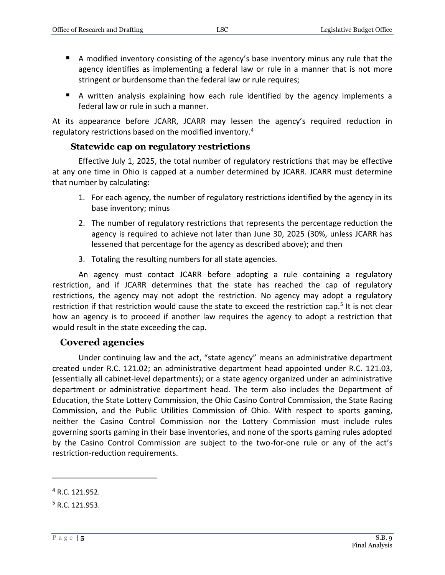- A modified inventory consisting of the agency's base inventory minus any rule that the agency identifies as implementing a federal law or rule in a manner that is not more stringent or burdensome than the federal law or rule requires;
- A written analysis explaining how each rule identified by the agency implements a federal law or rule in such a manner.

At its appearance before JCARR, JCARR may lessen the agency's required reduction in regulatory restrictions based on the modified inventory. 4

#### **Statewide cap on regulatory restrictions**

<span id="page-4-0"></span>Effective July 1, 2025, the total number of regulatory restrictions that may be effective at any one time in Ohio is capped at a number determined by JCARR. JCARR must determine that number by calculating:

- 1. For each agency, the number of regulatory restrictions identified by the agency in its base inventory; minus
- 2. The number of regulatory restrictions that represents the percentage reduction the agency is required to achieve not later than June 30, 2025 (30%, unless JCARR has lessened that percentage for the agency as described above); and then
- 3. Totaling the resulting numbers for all state agencies.

An agency must contact JCARR before adopting a rule containing a regulatory restriction, and if JCARR determines that the state has reached the cap of regulatory restrictions, the agency may not adopt the restriction. No agency may adopt a regulatory restriction if that restriction would cause the state to exceed the restriction cap.<sup>5</sup> It is not clear how an agency is to proceed if another law requires the agency to adopt a restriction that would result in the state exceeding the cap.

## <span id="page-4-1"></span>**Covered agencies**

Under continuing law and the act, "state agency" means an administrative department created under R.C. 121.02; an administrative department head appointed under R.C. 121.03, (essentially all cabinet-level departments); or a state agency organized under an administrative department or administrative department head. The term also includes the Department of Education, the State Lottery Commission, the Ohio Casino Control Commission, the State Racing Commission, and the Public Utilities Commission of Ohio. With respect to sports gaming, neither the Casino Control Commission nor the Lottery Commission must include rules governing sports gaming in their base inventories, and none of the sports gaming rules adopted by the Casino Control Commission are subject to the two-for-one rule or any of the act's restriction-reduction requirements.

<sup>4</sup> R.C. 121.952.

<sup>5</sup> R.C. 121.953.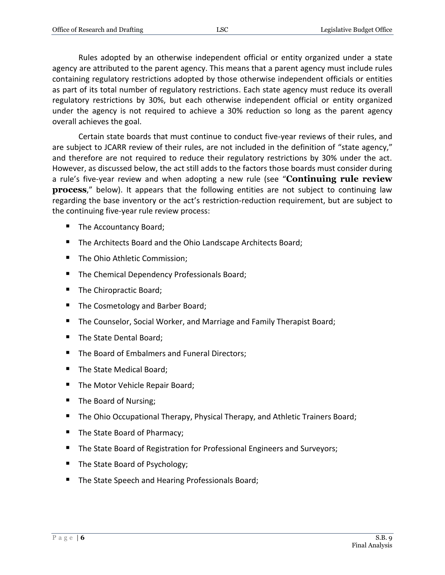Rules adopted by an otherwise independent official or entity organized under a state agency are attributed to the parent agency. This means that a parent agency must include rules containing regulatory restrictions adopted by those otherwise independent officials or entities as part of its total number of regulatory restrictions. Each state agency must reduce its overall regulatory restrictions by 30%, but each otherwise independent official or entity organized under the agency is not required to achieve a 30% reduction so long as the parent agency overall achieves the goal.

Certain state boards that must continue to conduct five-year reviews of their rules, and are subject to JCARR review of their rules, are not included in the definition of "state agency," and therefore are not required to reduce their regulatory restrictions by 30% under the act. However, as discussed below, the act still adds to the factors those boards must consider during a rule's five-year review and when adopting a new rule (see "**Continuing rule review process**," below). It appears that the following entities are not subject to continuing law regarding the base inventory or the act's restriction-reduction requirement, but are subject to the continuing five-year rule review process:

- The Accountancy Board;
- The Architects Board and the Ohio Landscape Architects Board;
- The Ohio Athletic Commission;
- The Chemical Dependency Professionals Board;
- The Chiropractic Board;
- The Cosmetology and Barber Board;
- The Counselor, Social Worker, and Marriage and Family Therapist Board;
- The State Dental Board;
- The Board of Embalmers and Funeral Directors;
- The State Medical Board;
- The Motor Vehicle Repair Board;
- The Board of Nursing;
- **The Ohio Occupational Therapy, Physical Therapy, and Athletic Trainers Board;**
- The State Board of Pharmacy;
- The State Board of Registration for Professional Engineers and Surveyors;
- The State Board of Psychology;
- The State Speech and Hearing Professionals Board;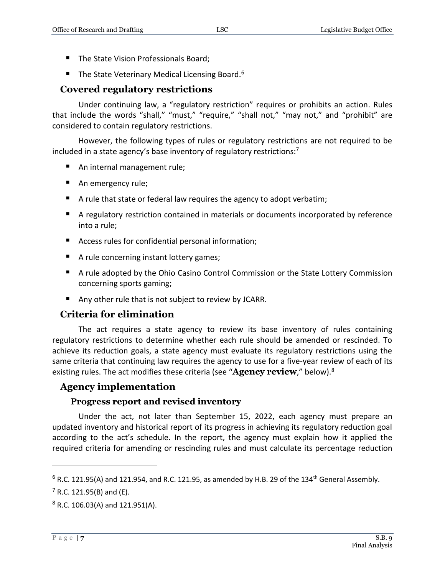- The State Vision Professionals Board;
- The State Veterinary Medical Licensing Board.<sup>6</sup>

# <span id="page-6-0"></span>**Covered regulatory restrictions**

Under continuing law, a "regulatory restriction" requires or prohibits an action. Rules that include the words "shall," "must," "require," "shall not," "may not," and "prohibit" are considered to contain regulatory restrictions.

However, the following types of rules or regulatory restrictions are not required to be included in a state agency's base inventory of regulatory restrictions:<sup>7</sup>

- An internal management rule;
- An emergency rule;
- A rule that state or federal law requires the agency to adopt verbatim;
- A regulatory restriction contained in materials or documents incorporated by reference into a rule;
- Access rules for confidential personal information;
- A rule concerning instant lottery games;
- A rule adopted by the Ohio Casino Control Commission or the State Lottery Commission concerning sports gaming;
- Any other rule that is not subject to review by JCARR.

# <span id="page-6-1"></span>**Criteria for elimination**

The act requires a state agency to review its base inventory of rules containing regulatory restrictions to determine whether each rule should be amended or rescinded. To achieve its reduction goals, a state agency must evaluate its regulatory restrictions using the same criteria that continuing law requires the agency to use for a five-year review of each of its existing rules. The act modifies these criteria (see "**Agency review**," below).<sup>8</sup>

## <span id="page-6-2"></span>**Agency implementation**

## **Progress report and revised inventory**

<span id="page-6-3"></span>Under the act, not later than September 15, 2022, each agency must prepare an updated inventory and historical report of its progress in achieving its regulatory reduction goal according to the act's schedule. In the report, the agency must explain how it applied the required criteria for amending or rescinding rules and must calculate its percentage reduction

 $6$  R.C. 121.95(A) and 121.954, and R.C. 121.95, as amended by H.B. 29 of the 134<sup>th</sup> General Assembly.

 $7$  R.C. 121.95(B) and (E).

<sup>8</sup> R.C. 106.03(A) and 121.951(A).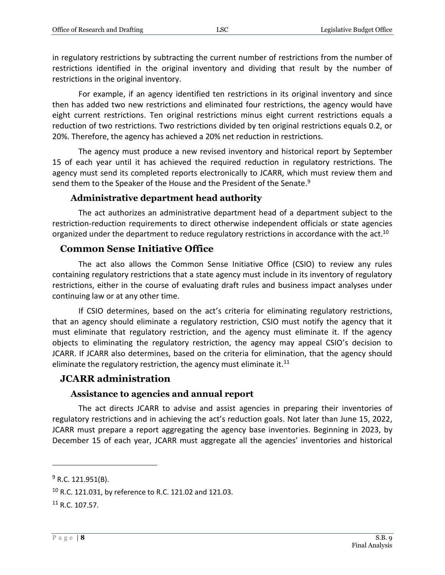in regulatory restrictions by subtracting the current number of restrictions from the number of restrictions identified in the original inventory and dividing that result by the number of restrictions in the original inventory.

For example, if an agency identified ten restrictions in its original inventory and since then has added two new restrictions and eliminated four restrictions, the agency would have eight current restrictions. Ten original restrictions minus eight current restrictions equals a reduction of two restrictions. Two restrictions divided by ten original restrictions equals 0.2, or 20%. Therefore, the agency has achieved a 20% net reduction in restrictions.

The agency must produce a new revised inventory and historical report by September 15 of each year until it has achieved the required reduction in regulatory restrictions. The agency must send its completed reports electronically to JCARR, which must review them and send them to the Speaker of the House and the President of the Senate.<sup>9</sup>

#### **Administrative department head authority**

<span id="page-7-0"></span>The act authorizes an administrative department head of a department subject to the restriction-reduction requirements to direct otherwise independent officials or state agencies organized under the department to reduce regulatory restrictions in accordance with the act.<sup>10</sup>

#### <span id="page-7-1"></span>**Common Sense Initiative Office**

The act also allows the Common Sense Initiative Office (CSIO) to review any rules containing regulatory restrictions that a state agency must include in its inventory of regulatory restrictions, either in the course of evaluating draft rules and business impact analyses under continuing law or at any other time.

If CSIO determines, based on the act's criteria for eliminating regulatory restrictions, that an agency should eliminate a regulatory restriction, CSIO must notify the agency that it must eliminate that regulatory restriction, and the agency must eliminate it. If the agency objects to eliminating the regulatory restriction, the agency may appeal CSIO's decision to JCARR. If JCARR also determines, based on the criteria for elimination, that the agency should eliminate the regulatory restriction, the agency must eliminate it. $11$ 

#### <span id="page-7-2"></span>**JCARR administration**

#### **Assistance to agencies and annual report**

<span id="page-7-3"></span>The act directs JCARR to advise and assist agencies in preparing their inventories of regulatory restrictions and in achieving the act's reduction goals. Not later than June 15, 2022, JCARR must prepare a report aggregating the agency base inventories. Beginning in 2023, by December 15 of each year, JCARR must aggregate all the agencies' inventories and historical

 $9$  R.C. 121.951(B).

<sup>10</sup> R.C. 121.031, by reference to R.C. 121.02 and 121.03.

 $11$  R.C. 107.57.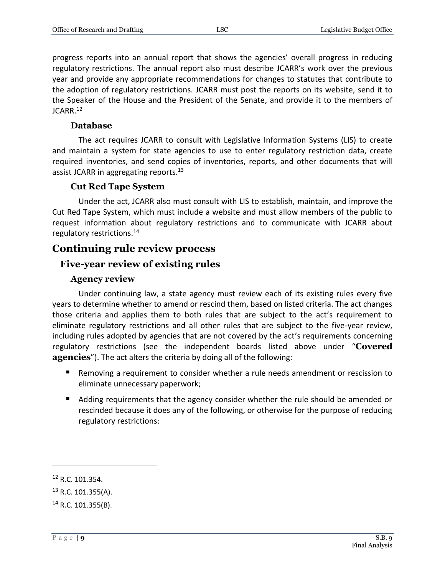progress reports into an annual report that shows the agencies' overall progress in reducing regulatory restrictions. The annual report also must describe JCARR's work over the previous year and provide any appropriate recommendations for changes to statutes that contribute to the adoption of regulatory restrictions. JCARR must post the reports on its website, send it to the Speaker of the House and the President of the Senate, and provide it to the members of JCARR.<sup>12</sup>

#### **Database**

<span id="page-8-0"></span>The act requires JCARR to consult with Legislative Information Systems (LIS) to create and maintain a system for state agencies to use to enter regulatory restriction data, create required inventories, and send copies of inventories, reports, and other documents that will assist JCARR in aggregating reports.<sup>13</sup>

#### **Cut Red Tape System**

<span id="page-8-1"></span>Under the act, JCARR also must consult with LIS to establish, maintain, and improve the Cut Red Tape System, which must include a website and must allow members of the public to request information about regulatory restrictions and to communicate with JCARR about regulatory restrictions.<sup>14</sup>

# <span id="page-8-2"></span>**Continuing rule review process**

## <span id="page-8-3"></span>**Five-year review of existing rules**

#### **Agency review**

<span id="page-8-4"></span>Under continuing law, a state agency must review each of its existing rules every five years to determine whether to amend or rescind them, based on listed criteria. The act changes those criteria and applies them to both rules that are subject to the act's requirement to eliminate regulatory restrictions and all other rules that are subject to the five-year review, including rules adopted by agencies that are not covered by the act's requirements concerning regulatory restrictions (see the independent boards listed above under "**Covered agencies**"). The act alters the criteria by doing all of the following:

- Removing a requirement to consider whether a rule needs amendment or rescission to eliminate unnecessary paperwork;
- Adding requirements that the agency consider whether the rule should be amended or rescinded because it does any of the following, or otherwise for the purpose of reducing regulatory restrictions:

<sup>12</sup> R.C. 101.354.

 $13$  R.C. 101.355(A).

 $14$  R.C. 101.355(B).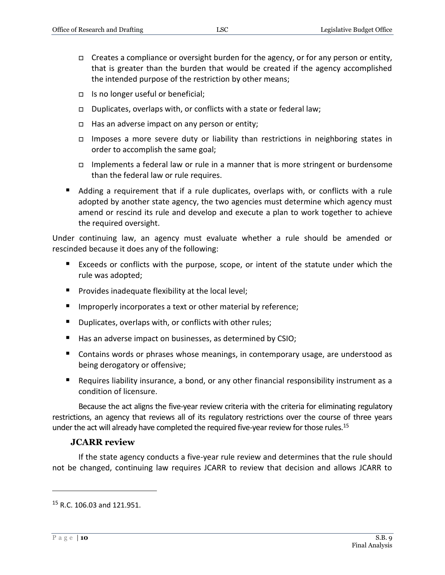- $\Box$  Creates a compliance or oversight burden for the agency, or for any person or entity, that is greater than the burden that would be created if the agency accomplished the intended purpose of the restriction by other means;
- $\Box$  Is no longer useful or beneficial;
- Duplicates, overlaps with, or conflicts with a state or federal law;
- $\Box$  Has an adverse impact on any person or entity;
- Imposes a more severe duty or liability than restrictions in neighboring states in order to accomplish the same goal;
- Implements a federal law or rule in a manner that is more stringent or burdensome than the federal law or rule requires.
- Adding a requirement that if a rule duplicates, overlaps with, or conflicts with a rule adopted by another state agency, the two agencies must determine which agency must amend or rescind its rule and develop and execute a plan to work together to achieve the required oversight.

Under continuing law, an agency must evaluate whether a rule should be amended or rescinded because it does any of the following:

- Exceeds or conflicts with the purpose, scope, or intent of the statute under which the rule was adopted;
- **Provides inadequate flexibility at the local level;**
- **IMPROPER 19 Improperly incorporates a text or other material by reference;**
- **Duplicates, overlaps with, or conflicts with other rules;**
- Has an adverse impact on businesses, as determined by CSIO;
- **Contains words or phrases whose meanings, in contemporary usage, are understood as** being derogatory or offensive;
- Requires liability insurance, a bond, or any other financial responsibility instrument as a condition of licensure.

Because the act aligns the five-year review criteria with the criteria for eliminating regulatory restrictions, an agency that reviews all of its regulatory restrictions over the course of three years under the act will already have completed the required five-year review for those rules.<sup>15</sup>

#### **JCARR review**

<span id="page-9-0"></span>If the state agency conducts a five-year rule review and determines that the rule should not be changed, continuing law requires JCARR to review that decision and allows JCARR to

<sup>15</sup> R.C. 106.03 and 121.951.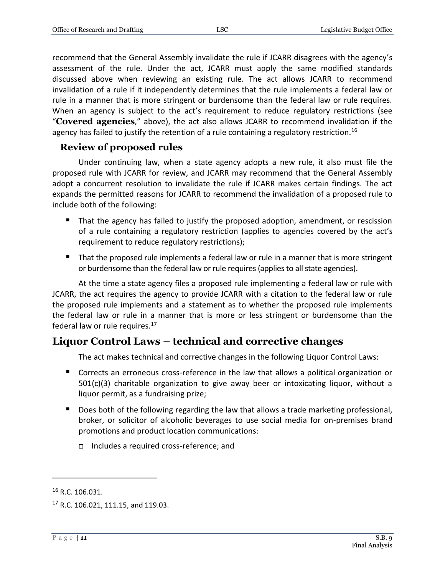recommend that the General Assembly invalidate the rule if JCARR disagrees with the agency's assessment of the rule. Under the act, JCARR must apply the same modified standards discussed above when reviewing an existing rule. The act allows JCARR to recommend invalidation of a rule if it independently determines that the rule implements a federal law or rule in a manner that is more stringent or burdensome than the federal law or rule requires. When an agency is subject to the act's requirement to reduce regulatory restrictions (see "**Covered agencies**," above), the act also allows JCARR to recommend invalidation if the agency has failed to justify the retention of a rule containing a regulatory restriction.<sup>16</sup>

#### <span id="page-10-0"></span>**Review of proposed rules**

Under continuing law, when a state agency adopts a new rule, it also must file the proposed rule with JCARR for review, and JCARR may recommend that the General Assembly adopt a concurrent resolution to invalidate the rule if JCARR makes certain findings. The act expands the permitted reasons for JCARR to recommend the invalidation of a proposed rule to include both of the following:

- That the agency has failed to justify the proposed adoption, amendment, or rescission of a rule containing a regulatory restriction (applies to agencies covered by the act's requirement to reduce regulatory restrictions);
- That the proposed rule implements a federal law or rule in a manner that is more stringent or burdensome than the federal law or rule requires (applies to all state agencies).

At the time a state agency files a proposed rule implementing a federal law or rule with JCARR, the act requires the agency to provide JCARR with a citation to the federal law or rule the proposed rule implements and a statement as to whether the proposed rule implements the federal law or rule in a manner that is more or less stringent or burdensome than the federal law or rule requires.<sup>17</sup>

# <span id="page-10-1"></span>**Liquor Control Laws – technical and corrective changes**

The act makes technical and corrective changes in the following Liquor Control Laws:

- Corrects an erroneous cross-reference in the law that allows a political organization or  $501(c)(3)$  charitable organization to give away beer or intoxicating liquor, without a liquor permit, as a fundraising prize;
- Does both of the following regarding the law that allows a trade marketing professional, broker, or solicitor of alcoholic beverages to use social media for on-premises brand promotions and product location communications:
	- Includes a required cross-reference; and

<sup>16</sup> R.C. 106.031.

<sup>&</sup>lt;sup>17</sup> R.C. 106.021, 111.15, and 119.03.